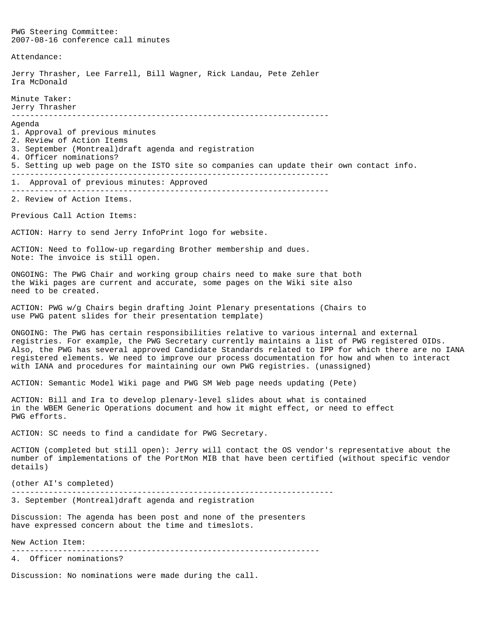PWG Steering Committee: 2007-08-16 conference call minutes Attendance: Jerry Thrasher, Lee Farrell, Bill Wagner, Rick Landau, Pete Zehler Ira McDonald Minute Taker: Jerry Thrasher -------------------------------------------------------------------- Agenda 1. Approval of previous minutes 2. Review of Action Items 3. September (Montreal)draft agenda and registration 4. Officer nominations? 5. Setting up web page on the ISTO site so companies can update their own contact info. -------------------------------------------------------------------- 1. Approval of previous minutes: Approved -------------------------------------------------------------------- 2. Review of Action Items. Previous Call Action Items: ACTION: Harry to send Jerry InfoPrint logo for website. ACTION: Need to follow-up regarding Brother membership and dues. Note: The invoice is still open. ONGOING: The PWG Chair and working group chairs need to make sure that both the Wiki pages are current and accurate, some pages on the Wiki site also need to be created. ACTION: PWG w/g Chairs begin drafting Joint Plenary presentations (Chairs to use PWG patent slides for their presentation template) ONGOING: The PWG has certain responsibilities relative to various internal and external registries. For example, the PWG Secretary currently maintains a list of PWG registered OIDs. Also, the PWG has several approved Candidate Standards related to IPP for which there are no IANA registered elements. We need to improve our process documentation for how and when to interact with IANA and procedures for maintaining our own PWG registries. (unassigned) ACTION: Semantic Model Wiki page and PWG SM Web page needs updating (Pete) ACTION: Bill and Ira to develop plenary-level slides about what is contained in the WBEM Generic Operations document and how it might effect, or need to effect PWG efforts. ACTION: SC needs to find a candidate for PWG Secretary. ACTION (completed but still open): Jerry will contact the OS vendor's representative about the number of implementations of the PortMon MIB that have been certified (without specific vendor details) (other AI's completed) --------------------------------------------------------------------- 3. September (Montreal)draft agenda and registration Discussion: The agenda has been post and none of the presenters have expressed concern about the time and timeslots. New Action Item: ------------------------------------------------------------------ 4. Officer nominations? Discussion: No nominations were made during the call.